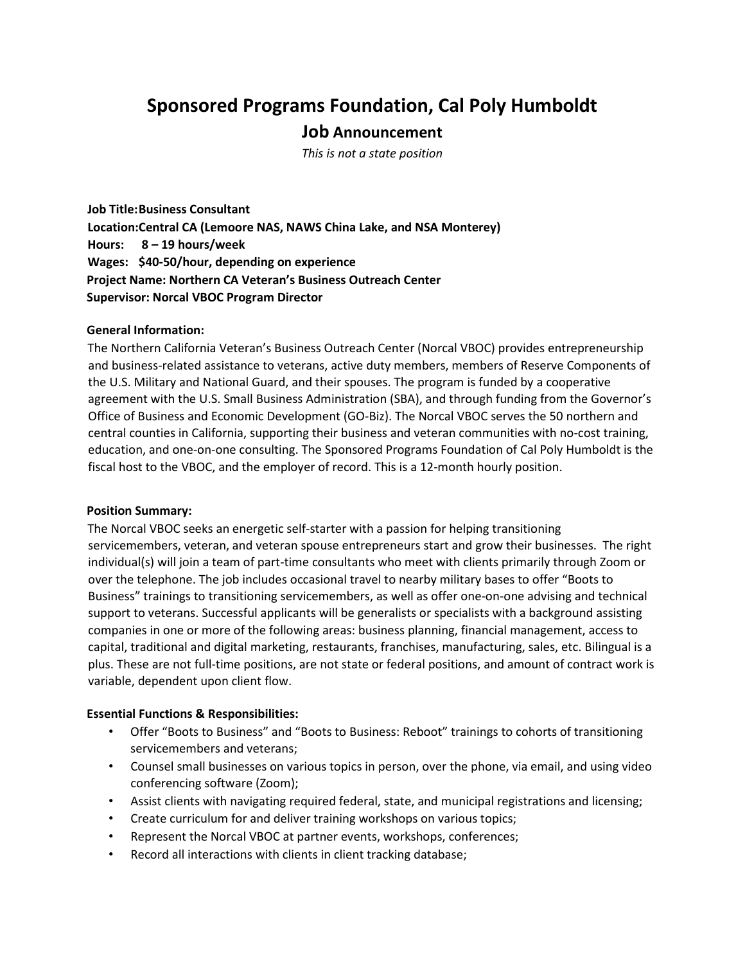# **Sponsored Programs Foundation, Cal Poly Humboldt**

## **Job Announcement**

*This is not a state position*

**Job Title: Business Consultant Location: Central CA (Lemoore NAS, NAWS China Lake, and NSA Monterey) Hours: 8 – 19 hours/week Wages: \$40-50/hour, depending on experience Project Name: Northern CA Veteran's Business Outreach Center Supervisor: Norcal VBOC Program Director** 

#### **General Information:**

The Northern California Veteran's Business Outreach Center (Norcal VBOC) provides entrepreneurship and business-related assistance to veterans, active duty members, members of Reserve Components of the U.S. Military and National Guard, and their spouses. The program is funded by a cooperative agreement with the U.S. Small Business Administration (SBA), and through funding from the Governor's Office of Business and Economic Development (GO-Biz). The Norcal VBOC serves the 50 northern and central counties in California, supporting their business and veteran communities with no-cost training, education, and one-on-one consulting. The Sponsored Programs Foundation of Cal Poly Humboldt is the fiscal host to the VBOC, and the employer of record. This is a 12-month hourly position.

#### **Position Summary:**

The Norcal VBOC seeks an energetic self-starter with a passion for helping transitioning servicemembers, veteran, and veteran spouse entrepreneurs start and grow their businesses. The right individual(s) will join a team of part-time consultants who meet with clients primarily through Zoom or over the telephone. The job includes occasional travel to nearby military bases to offer "Boots to Business" trainings to transitioning servicemembers, as well as offer one-on-one advising and technical support to veterans. Successful applicants will be generalists or specialists with a background assisting companies in one or more of the following areas: business planning, financial management, access to capital, traditional and digital marketing, restaurants, franchises, manufacturing, sales, etc. Bilingual is a plus. These are not full-time positions, are not state or federal positions, and amount of contract work is variable, dependent upon client flow.

## **Essential Functions & Responsibilities:**

- Offer "Boots to Business" and "Boots to Business: Reboot" trainings to cohorts of transitioning servicemembers and veterans;
- Counsel small businesses on various topics in person, over the phone, via email, and using video conferencing software (Zoom);
- Assist clients with navigating required federal, state, and municipal registrations and licensing;
- Create curriculum for and deliver training workshops on various topics;
- Represent the Norcal VBOC at partner events, workshops, conferences;
- Record all interactions with clients in client tracking database;